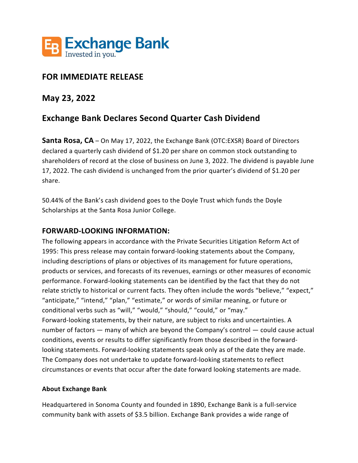

# **FOR IMMEDIATE RELEASE**

## **May 23, 2022**

# **Exchange Bank Declares Second Quarter Cash Dividend**

**Santa Rosa, CA** – On May 17, 2022, the Exchange Bank (OTC:EXSR) Board of Directors declared a quarterly cash dividend of \$1.20 per share on common stock outstanding to shareholders of record at the close of business on June 3, 2022. The dividend is payable June 17, 2022. The cash dividend is unchanged from the prior quarter's dividend of \$1.20 per share.

50.44% of the Bank's cash dividend goes to the Doyle Trust which funds the Doyle Scholarships at the Santa Rosa Junior College.

### **FORWARD-LOOKING INFORMATION:**

The following appears in accordance with the Private Securities Litigation Reform Act of 1995: This press release may contain forward-looking statements about the Company, including descriptions of plans or objectives of its management for future operations, products or services, and forecasts of its revenues, earnings or other measures of economic performance. Forward-looking statements can be identified by the fact that they do not relate strictly to historical or current facts. They often include the words "believe," "expect," "anticipate," "intend," "plan," "estimate," or words of similar meaning, or future or conditional verbs such as "will," "would," "should," "could," or "may." Forward-looking statements, by their nature, are subject to risks and uncertainties. A number of factors — many of which are beyond the Company's control — could cause actual conditions, events or results to differ significantly from those described in the forwardlooking statements. Forward-looking statements speak only as of the date they are made. The Company does not undertake to update forward-looking statements to reflect circumstances or events that occur after the date forward looking statements are made.

#### **About Exchange Bank**

Headquartered in Sonoma County and founded in 1890, Exchange Bank is a full-service community bank with assets of \$3.5 billion. Exchange Bank provides a wide range of